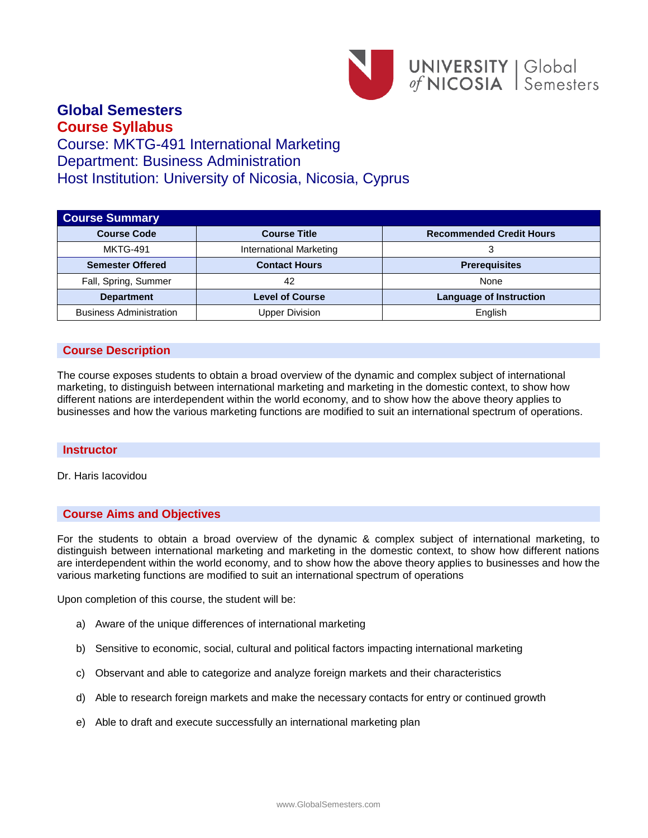

## **Global Semesters Course Syllabus**

# Course: MKTG-491 International Marketing Department: Business Administration Host Institution: University of Nicosia, Nicosia, Cyprus

| <b>Course Summary</b>          |                         |                                 |
|--------------------------------|-------------------------|---------------------------------|
| <b>Course Code</b>             | <b>Course Title</b>     | <b>Recommended Credit Hours</b> |
| <b>MKTG-491</b>                | International Marketing | 3                               |
| <b>Semester Offered</b>        | <b>Contact Hours</b>    | <b>Prerequisites</b>            |
| Fall, Spring, Summer           | 42                      | None                            |
| <b>Department</b>              | <b>Level of Course</b>  | <b>Language of Instruction</b>  |
| <b>Business Administration</b> | <b>Upper Division</b>   | English                         |

## **Course Description**

The course exposes students to obtain a broad overview of the dynamic and complex subject of international marketing, to distinguish between international marketing and marketing in the domestic context, to show how different nations are interdependent within the world economy, and to show how the above theory applies to businesses and how the various marketing functions are modified to suit an international spectrum of operations.

## **Instructor**

Dr. Haris Iacovidou

## **Course Aims and Objectives**

For the students to obtain a broad overview of the dynamic & complex subject of international marketing, to distinguish between international marketing and marketing in the domestic context, to show how different nations are interdependent within the world economy, and to show how the above theory applies to businesses and how the various marketing functions are modified to suit an international spectrum of operations

Upon completion of this course, the student will be:

- a) Aware of the unique differences of international marketing
- b) Sensitive to economic, social, cultural and political factors impacting international marketing
- c) Observant and able to categorize and analyze foreign markets and their characteristics
- d) Able to research foreign markets and make the necessary contacts for entry or continued growth
- e) Able to draft and execute successfully an international marketing plan